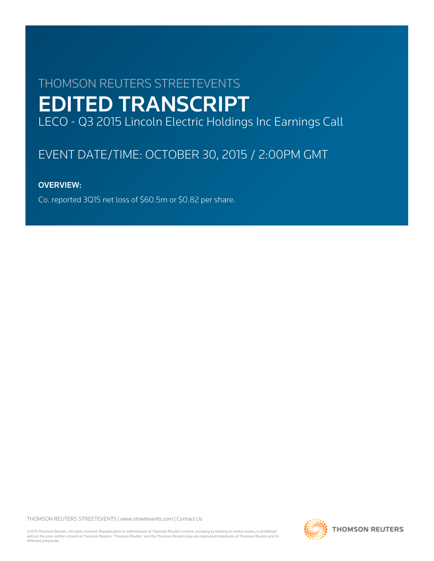# THOMSON REUTERS STREETEVENTS EDITED TRANSCRIPT LECO - Q3 2015 Lincoln Electric Holdings Inc Earnings Call

# EVENT DATE/TIME: OCTOBER 30, 2015 / 2:00PM GMT

# OVERVIEW:

Co. reported 3Q15 net loss of \$60.5m or \$0.82 per share.

THOMSON REUTERS STREETEVENTS | [www.streetevents.com](http://www.streetevents.com) | [Contact Us](http://www010.streetevents.com/contact.asp)

©2015 Thomson Reuters. All rights reserved. Republication or redistribution of Thomson Reuters content, including by framing or similar means, is prohibited without the prior written consent of Thomson Reuters. 'Thomson Reuters' and the Thomson Reuters logo are registered trademarks of Thomson Reuters and its affiliated companies.

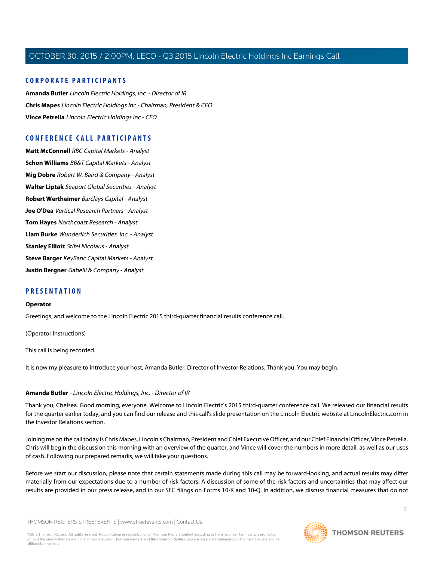# **CORPORATE PARTICIPANTS**

**[Amanda Butler](#page-1-0)** Lincoln Electric Holdings, Inc. - Director of IR **[Chris Mapes](#page-2-0)** Lincoln Electric Holdings Inc - Chairman, President & CEO **[Vince Petrella](#page-3-0)** Lincoln Electric Holdings Inc - CFO

# **CONFERENCE CALL PARTICIPANTS**

**[Matt McConnell](#page-6-0)** RBC Capital Markets - Analyst **[Schon Williams](#page-7-0)** BB&T Capital Markets - Analyst **[Mig Dobre](#page-8-0)** Robert W. Baird & Company - Analyst **[Walter Liptak](#page-9-0)** Seaport Global Securities - Analyst **[Robert Wertheimer](#page-10-0)** Barclays Capital - Analyst **[Joe O'Dea](#page-11-0)** Vertical Research Partners - Analyst **[Tom Hayes](#page-12-0)** Northcoast Research - Analyst **[Liam Burke](#page-13-0)** Wunderlich Securities, Inc. - Analyst **[Stanley Elliott](#page-14-0)** Stifel Nicolaus - Analyst **[Steve Barger](#page-15-0)** KeyBanc Capital Markets - Analyst **[Justin Bergner](#page-18-0)** Gabelli & Company - Analyst

# **PRESENTATION**

#### **Operator**

Greetings, and welcome to the Lincoln Electric 2015 third-quarter financial results conference call.

(Operator Instructions)

<span id="page-1-0"></span>This call is being recorded.

It is now my pleasure to introduce your host, Amanda Butler, Director of Investor Relations. Thank you. You may begin.

#### **Amanda Butler** - Lincoln Electric Holdings, Inc. - Director of IR

Thank you, Chelsea. Good morning, everyone. Welcome to Lincoln Electric's 2015 third-quarter conference call. We released our financial results for the quarter earlier today, and you can find our release and this call's slide presentation on the Lincoln Electric website at LincolnElectric.com in the Investor Relations section.

Joining me on the call today is Chris Mapes, Lincoln's Chairman, President and Chief Executive Officer, and our Chief Financial Officer, Vince Petrella. Chris will begin the discussion this morning with an overview of the quarter, and Vince will cover the numbers in more detail, as well as our uses of cash. Following our prepared remarks, we will take your questions.

Before we start our discussion, please note that certain statements made during this call may be forward-looking, and actual results may differ materially from our expectations due to a number of risk factors. A discussion of some of the risk factors and uncertainties that may affect our results are provided in our press release, and in our SEC filings on Forms 10-K and 10-Q. In addition, we discuss financial measures that do not

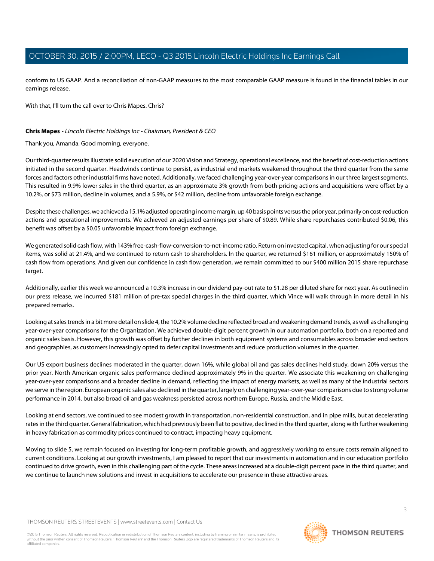conform to US GAAP. And a reconciliation of non-GAAP measures to the most comparable GAAP measure is found in the financial tables in our earnings release.

With that, I'll turn the call over to Chris Mapes. Chris?

### <span id="page-2-0"></span>**Chris Mapes** - Lincoln Electric Holdings Inc - Chairman, President & CEO

Thank you, Amanda. Good morning, everyone.

Our third-quarter results illustrate solid execution of our 2020 Vision and Strategy, operational excellence, and the benefit of cost-reduction actions initiated in the second quarter. Headwinds continue to persist, as industrial end markets weakened throughout the third quarter from the same forces and factors other industrial firms have noted. Additionally, we faced challenging year-over-year comparisons in our three largest segments. This resulted in 9.9% lower sales in the third quarter, as an approximate 3% growth from both pricing actions and acquisitions were offset by a 10.2%, or \$73 million, decline in volumes, and a 5.9%, or \$42 million, decline from unfavorable foreign exchange.

Despite these challenges, we achieved a 15.1% adjusted operating income margin, up 40 basis points versus the prior year, primarily on cost-reduction actions and operational improvements. We achieved an adjusted earnings per share of \$0.89. While share repurchases contributed \$0.06, this benefit was offset by a \$0.05 unfavorable impact from foreign exchange.

We generated solid cash flow, with 143% free-cash-flow-conversion-to-net-income ratio. Return on invested capital, when adjusting for our special items, was solid at 21.4%, and we continued to return cash to shareholders. In the quarter, we returned \$161 million, or approximately 150% of cash flow from operations. And given our confidence in cash flow generation, we remain committed to our \$400 million 2015 share repurchase target.

Additionally, earlier this week we announced a 10.3% increase in our dividend pay-out rate to \$1.28 per diluted share for next year. As outlined in our press release, we incurred \$181 million of pre-tax special charges in the third quarter, which Vince will walk through in more detail in his prepared remarks.

Looking at sales trends in a bit more detail on slide 4, the 10.2% volume decline reflected broad and weakening demand trends, as well as challenging year-over-year comparisons for the Organization. We achieved double-digit percent growth in our automation portfolio, both on a reported and organic sales basis. However, this growth was offset by further declines in both equipment systems and consumables across broader end sectors and geographies, as customers increasingly opted to defer capital investments and reduce production volumes in the quarter.

Our US export business declines moderated in the quarter, down 16%, while global oil and gas sales declines held study, down 20% versus the prior year. North American organic sales performance declined approximately 9% in the quarter. We associate this weakening on challenging year-over-year comparisons and a broader decline in demand, reflecting the impact of energy markets, as well as many of the industrial sectors we serve in the region. European organic sales also declined in the quarter, largely on challenging year-over-year comparisons due to strong volume performance in 2014, but also broad oil and gas weakness persisted across northern Europe, Russia, and the Middle East.

Looking at end sectors, we continued to see modest growth in transportation, non-residential construction, and in pipe mills, but at decelerating rates in the third quarter. General fabrication, which had previously been flat to positive, declined in the third quarter, along with further weakening in heavy fabrication as commodity prices continued to contract, impacting heavy equipment.

Moving to slide 5, we remain focused on investing for long-term profitable growth, and aggressively working to ensure costs remain aligned to current conditions. Looking at our growth investments, I am pleased to report that our investments in automation and in our education portfolio continued to drive growth, even in this challenging part of the cycle. These areas increased at a double-digit percent pace in the third quarter, and we continue to launch new solutions and invest in acquisitions to accelerate our presence in these attractive areas.

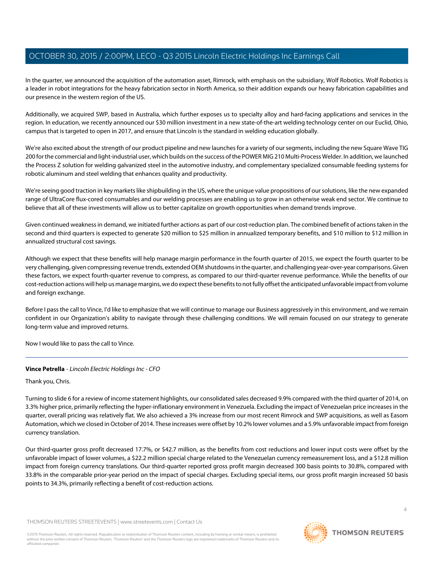In the quarter, we announced the acquisition of the automation asset, Rimrock, with emphasis on the subsidiary, Wolf Robotics. Wolf Robotics is a leader in robot integrations for the heavy fabrication sector in North America, so their addition expands our heavy fabrication capabilities and our presence in the western region of the US.

Additionally, we acquired SWP, based in Australia, which further exposes us to specialty alloy and hard-facing applications and services in the region. In education, we recently announced our \$30 million investment in a new state-of-the-art welding technology center on our Euclid, Ohio, campus that is targeted to open in 2017, and ensure that Lincoln is the standard in welding education globally.

We're also excited about the strength of our product pipeline and new launches for a variety of our segments, including the new Square Wave TIG 200 for the commercial and light-industrial user, which builds on the success of the POWER MIG 210 Multi-Process Welder. In addition, we launched the Process Z solution for welding galvanized steel in the automotive industry, and complementary specialized consumable feeding systems for robotic aluminum and steel welding that enhances quality and productivity.

We're seeing good traction in key markets like shipbuilding in the US, where the unique value propositions of our solutions, like the new expanded range of UltraCore flux-cored consumables and our welding processes are enabling us to grow in an otherwise weak end sector. We continue to believe that all of these investments will allow us to better capitalize on growth opportunities when demand trends improve.

Given continued weakness in demand, we initiated further actions as part of our cost-reduction plan. The combined benefit of actions taken in the second and third quarters is expected to generate \$20 million to \$25 million in annualized temporary benefits, and \$10 million to \$12 million in annualized structural cost savings.

Although we expect that these benefits will help manage margin performance in the fourth quarter of 2015, we expect the fourth quarter to be very challenging, given compressing revenue trends, extended OEM shutdowns in the quarter, and challenging year-over-year comparisons. Given these factors, we expect fourth-quarter revenue to compress, as compared to our third-quarter revenue performance. While the benefits of our cost-reduction actions will help us manage margins, we do expect these benefits to not fully offset the anticipated unfavorable impact from volume and foreign exchange.

Before I pass the call to Vince, I'd like to emphasize that we will continue to manage our Business aggressively in this environment, and we remain confident in our Organization's ability to navigate through these challenging conditions. We will remain focused on our strategy to generate long-term value and improved returns.

<span id="page-3-0"></span>Now I would like to pass the call to Vince.

# **Vince Petrella** - Lincoln Electric Holdings Inc - CFO

Thank you, Chris.

Turning to slide 6 for a review of income statement highlights, our consolidated sales decreased 9.9% compared with the third quarter of 2014, on 3.3% higher price, primarily reflecting the hyper-inflationary environment in Venezuela. Excluding the impact of Venezuelan price increases in the quarter, overall pricing was relatively flat. We also achieved a 3% increase from our most recent Rimrock and SWP acquisitions, as well as Easom Automation, which we closed in October of 2014. These increases were offset by 10.2% lower volumes and a 5.9% unfavorable impact from foreign currency translation.

Our third-quarter gross profit decreased 17.7%, or \$42.7 million, as the benefits from cost reductions and lower input costs were offset by the unfavorable impact of lower volumes, a \$22.2 million special charge related to the Venezuelan currency remeasurement loss, and a \$12.8 million impact from foreign currency translations. Our third-quarter reported gross profit margin decreased 300 basis points to 30.8%, compared with 33.8% in the comparable prior-year period on the impact of special charges. Excluding special items, our gross profit margin increased 50 basis points to 34.3%, primarily reflecting a benefit of cost-reduction actions.

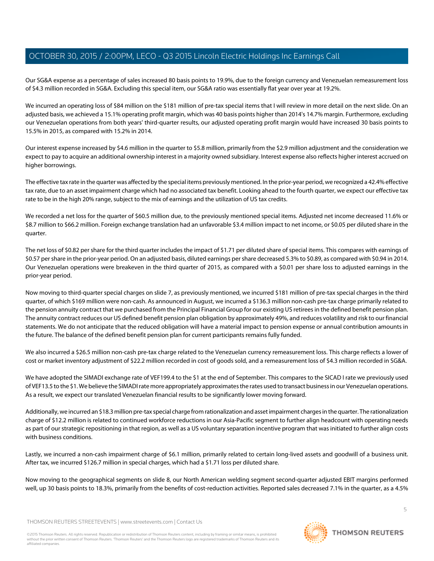Our SG&A expense as a percentage of sales increased 80 basis points to 19.9%, due to the foreign currency and Venezuelan remeasurement loss of \$4.3 million recorded in SG&A. Excluding this special item, our SG&A ratio was essentially flat year over year at 19.2%.

We incurred an operating loss of \$84 million on the \$181 million of pre-tax special items that I will review in more detail on the next slide. On an adjusted basis, we achieved a 15.1% operating profit margin, which was 40 basis points higher than 2014's 14.7% margin. Furthermore, excluding our Venezuelan operations from both years' third-quarter results, our adjusted operating profit margin would have increased 30 basis points to 15.5% in 2015, as compared with 15.2% in 2014.

Our interest expense increased by \$4.6 million in the quarter to \$5.8 million, primarily from the \$2.9 million adjustment and the consideration we expect to pay to acquire an additional ownership interest in a majority owned subsidiary. Interest expense also reflects higher interest accrued on higher borrowings.

The effective tax rate in the quarter was affected by the special items previously mentioned. In the prior-year period, we recognized a 42.4% effective tax rate, due to an asset impairment charge which had no associated tax benefit. Looking ahead to the fourth quarter, we expect our effective tax rate to be in the high 20% range, subject to the mix of earnings and the utilization of US tax credits.

We recorded a net loss for the quarter of \$60.5 million due, to the previously mentioned special items. Adjusted net income decreased 11.6% or \$8.7 million to \$66.2 million. Foreign exchange translation had an unfavorable \$3.4 million impact to net income, or \$0.05 per diluted share in the quarter.

The net loss of \$0.82 per share for the third quarter includes the impact of \$1.71 per diluted share of special items. This compares with earnings of \$0.57 per share in the prior-year period. On an adjusted basis, diluted earnings per share decreased 5.3% to \$0.89, as compared with \$0.94 in 2014. Our Venezuelan operations were breakeven in the third quarter of 2015, as compared with a \$0.01 per share loss to adjusted earnings in the prior-year period.

Now moving to third-quarter special charges on slide 7, as previously mentioned, we incurred \$181 million of pre-tax special charges in the third quarter, of which \$169 million were non-cash. As announced in August, we incurred a \$136.3 million non-cash pre-tax charge primarily related to the pension annuity contract that we purchased from the Principal Financial Group for our existing US retirees in the defined benefit pension plan. The annuity contract reduces our US defined benefit pension plan obligation by approximately 49%, and reduces volatility and risk to our financial statements. We do not anticipate that the reduced obligation will have a material impact to pension expense or annual contribution amounts in the future. The balance of the defined benefit pension plan for current participants remains fully funded.

We also incurred a \$26.5 million non-cash pre-tax charge related to the Venezuelan currency remeasurement loss. This charge reflects a lower of cost or market inventory adjustment of \$22.2 million recorded in cost of goods sold, and a remeasurement loss of \$4.3 million recorded in SG&A.

We have adopted the SIMADI exchange rate of VEF199.4 to the \$1 at the end of September. This compares to the SICAD I rate we previously used of VEF13.5 to the \$1. We believe the SIMADI rate more appropriately approximates the rates used to transact business in our Venezuelan operations. As a result, we expect our translated Venezuelan financial results to be significantly lower moving forward.

Additionally, we incurred an \$18.3 million pre-tax special charge from rationalization and asset impairment charges in the quarter. The rationalization charge of \$12.2 million is related to continued workforce reductions in our Asia-Pacific segment to further align headcount with operating needs as part of our strategic repositioning in that region, as well as a US voluntary separation incentive program that was initiated to further align costs with business conditions.

Lastly, we incurred a non-cash impairment charge of \$6.1 million, primarily related to certain long-lived assets and goodwill of a business unit. After tax, we incurred \$126.7 million in special charges, which had a \$1.71 loss per diluted share.

Now moving to the geographical segments on slide 8, our North American welding segment second-quarter adjusted EBIT margins performed well, up 30 basis points to 18.3%, primarily from the benefits of cost-reduction activities. Reported sales decreased 7.1% in the quarter, as a 4.5%

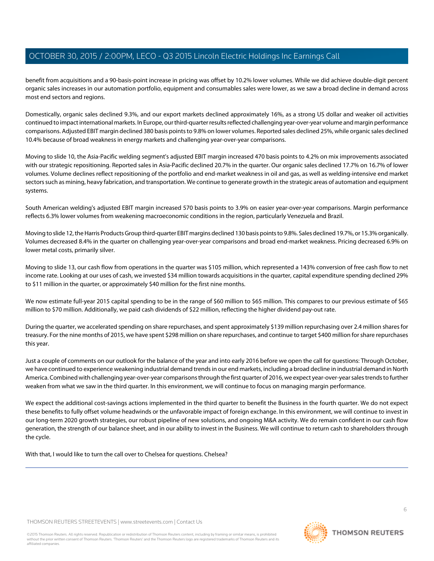benefit from acquisitions and a 90-basis-point increase in pricing was offset by 10.2% lower volumes. While we did achieve double-digit percent organic sales increases in our automation portfolio, equipment and consumables sales were lower, as we saw a broad decline in demand across most end sectors and regions.

Domestically, organic sales declined 9.3%, and our export markets declined approximately 16%, as a strong US dollar and weaker oil activities continued to impact international markets. In Europe, our third-quarter results reflected challenging year-over-year volume and margin performance comparisons. Adjusted EBIT margin declined 380 basis points to 9.8% on lower volumes. Reported sales declined 25%, while organic sales declined 10.4% because of broad weakness in energy markets and challenging year-over-year comparisons.

Moving to slide 10, the Asia-Pacific welding segment's adjusted EBIT margin increased 470 basis points to 4.2% on mix improvements associated with our strategic repositioning. Reported sales in Asia-Pacific declined 20.7% in the quarter. Our organic sales declined 17.7% on 16.7% of lower volumes. Volume declines reflect repositioning of the portfolio and end-market weakness in oil and gas, as well as welding-intensive end market sectors such as mining, heavy fabrication, and transportation. We continue to generate growth in the strategic areas of automation and equipment systems.

South American welding's adjusted EBIT margin increased 570 basis points to 3.9% on easier year-over-year comparisons. Margin performance reflects 6.3% lower volumes from weakening macroeconomic conditions in the region, particularly Venezuela and Brazil.

Moving to slide 12, the Harris Products Group third-quarter EBIT margins declined 130 basis points to 9.8%. Sales declined 19.7%, or 15.3% organically. Volumes decreased 8.4% in the quarter on challenging year-over-year comparisons and broad end-market weakness. Pricing decreased 6.9% on lower metal costs, primarily silver.

Moving to slide 13, our cash flow from operations in the quarter was \$105 million, which represented a 143% conversion of free cash flow to net income rate. Looking at our uses of cash, we invested \$34 million towards acquisitions in the quarter, capital expenditure spending declined 29% to \$11 million in the quarter, or approximately \$40 million for the first nine months.

We now estimate full-year 2015 capital spending to be in the range of \$60 million to \$65 million. This compares to our previous estimate of \$65 million to \$70 million. Additionally, we paid cash dividends of \$22 million, reflecting the higher dividend pay-out rate.

During the quarter, we accelerated spending on share repurchases, and spent approximately \$139 million repurchasing over 2.4 million shares for treasury. For the nine months of 2015, we have spent \$298 million on share repurchases, and continue to target \$400 million for share repurchases this year.

Just a couple of comments on our outlook for the balance of the year and into early 2016 before we open the call for questions: Through October, we have continued to experience weakening industrial demand trends in our end markets, including a broad decline in industrial demand in North America. Combined with challenging year-over-year comparisons through the first quarter of 2016, we expect year-over-year sales trends to further weaken from what we saw in the third quarter. In this environment, we will continue to focus on managing margin performance.

We expect the additional cost-savings actions implemented in the third quarter to benefit the Business in the fourth quarter. We do not expect these benefits to fully offset volume headwinds or the unfavorable impact of foreign exchange. In this environment, we will continue to invest in our long-term 2020 growth strategies, our robust pipeline of new solutions, and ongoing M&A activity. We do remain confident in our cash flow generation, the strength of our balance sheet, and in our ability to invest in the Business. We will continue to return cash to shareholders through the cycle.

With that, I would like to turn the call over to Chelsea for questions. Chelsea?

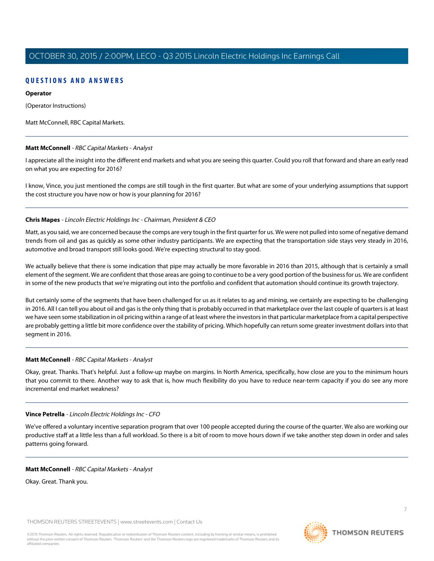# **QUESTIONS AND ANSWERS**

# **Operator**

(Operator Instructions)

<span id="page-6-0"></span>Matt McConnell, RBC Capital Markets.

# **Matt McConnell** - RBC Capital Markets - Analyst

I appreciate all the insight into the different end markets and what you are seeing this quarter. Could you roll that forward and share an early read on what you are expecting for 2016?

I know, Vince, you just mentioned the comps are still tough in the first quarter. But what are some of your underlying assumptions that support the cost structure you have now or how is your planning for 2016?

# **Chris Mapes** - Lincoln Electric Holdings Inc - Chairman, President & CEO

Matt, as you said, we are concerned because the comps are very tough in the first quarter for us. We were not pulled into some of negative demand trends from oil and gas as quickly as some other industry participants. We are expecting that the transportation side stays very steady in 2016, automotive and broad transport still looks good. We're expecting structural to stay good.

We actually believe that there is some indication that pipe may actually be more favorable in 2016 than 2015, although that is certainly a small element of the segment. We are confident that those areas are going to continue to be a very good portion of the business for us. We are confident in some of the new products that we're migrating out into the portfolio and confident that automation should continue its growth trajectory.

But certainly some of the segments that have been challenged for us as it relates to ag and mining, we certainly are expecting to be challenging in 2016. All I can tell you about oil and gas is the only thing that is probably occurred in that marketplace over the last couple of quarters is at least we have seen some stabilization in oil pricing within a range of at least where the investors in that particular marketplace from a capital perspective are probably getting a little bit more confidence over the stability of pricing. Which hopefully can return some greater investment dollars into that segment in 2016.

# **Matt McConnell** - RBC Capital Markets - Analyst

Okay, great. Thanks. That's helpful. Just a follow-up maybe on margins. In North America, specifically, how close are you to the minimum hours that you commit to there. Another way to ask that is, how much flexibility do you have to reduce near-term capacity if you do see any more incremental end market weakness?

# **Vince Petrella** - Lincoln Electric Holdings Inc - CFO

We've offered a voluntary incentive separation program that over 100 people accepted during the course of the quarter. We also are working our productive staff at a little less than a full workload. So there is a bit of room to move hours down if we take another step down in order and sales patterns going forward.

# **Matt McConnell** - RBC Capital Markets - Analyst

Okay. Great. Thank you.

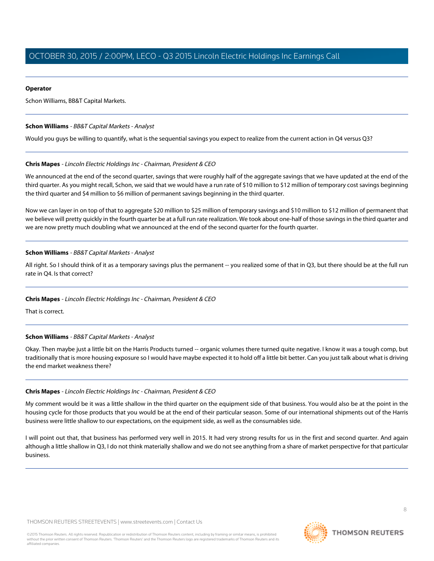### **Operator**

Schon Williams, BB&T Capital Markets.

# <span id="page-7-0"></span>**Schon Williams** - BB&T Capital Markets - Analyst

Would you guys be willing to quantify, what is the sequential savings you expect to realize from the current action in Q4 versus Q3?

# **Chris Mapes** - Lincoln Electric Holdings Inc - Chairman, President & CEO

We announced at the end of the second quarter, savings that were roughly half of the aggregate savings that we have updated at the end of the third quarter. As you might recall, Schon, we said that we would have a run rate of \$10 million to \$12 million of temporary cost savings beginning the third quarter and \$4 million to \$6 million of permanent savings beginning in the third quarter.

Now we can layer in on top of that to aggregate \$20 million to \$25 million of temporary savings and \$10 million to \$12 million of permanent that we believe will pretty quickly in the fourth quarter be at a full run rate realization. We took about one-half of those savings in the third quarter and we are now pretty much doubling what we announced at the end of the second quarter for the fourth quarter.

# **Schon Williams** - BB&T Capital Markets - Analyst

All right. So I should think of it as a temporary savings plus the permanent -- you realized some of that in Q3, but there should be at the full run rate in Q4. Is that correct?

# **Chris Mapes** - Lincoln Electric Holdings Inc - Chairman, President & CEO

That is correct.

# **Schon Williams** - BB&T Capital Markets - Analyst

Okay. Then maybe just a little bit on the Harris Products turned -- organic volumes there turned quite negative. I know it was a tough comp, but traditionally that is more housing exposure so I would have maybe expected it to hold off a little bit better. Can you just talk about what is driving the end market weakness there?

# **Chris Mapes** - Lincoln Electric Holdings Inc - Chairman, President & CEO

My comment would be it was a little shallow in the third quarter on the equipment side of that business. You would also be at the point in the housing cycle for those products that you would be at the end of their particular season. Some of our international shipments out of the Harris business were little shallow to our expectations, on the equipment side, as well as the consumables side.

I will point out that, that business has performed very well in 2015. It had very strong results for us in the first and second quarter. And again although a little shallow in Q3, I do not think materially shallow and we do not see anything from a share of market perspective for that particular business.

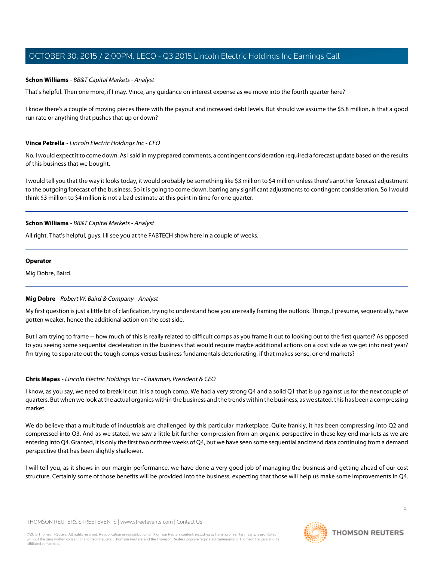### **Schon Williams** - BB&T Capital Markets - Analyst

That's helpful. Then one more, if I may. Vince, any guidance on interest expense as we move into the fourth quarter here?

I know there's a couple of moving pieces there with the payout and increased debt levels. But should we assume the \$5.8 million, is that a good run rate or anything that pushes that up or down?

#### **Vince Petrella** - Lincoln Electric Holdings Inc - CFO

No, I would expect it to come down. As I said in my prepared comments, a contingent consideration required a forecast update based on the results of this business that we bought.

I would tell you that the way it looks today, it would probably be something like \$3 million to \$4 million unless there's another forecast adjustment to the outgoing forecast of the business. So it is going to come down, barring any significant adjustments to contingent consideration. So I would think \$3 million to \$4 million is not a bad estimate at this point in time for one quarter.

#### **Schon Williams** - BB&T Capital Markets - Analyst

All right. That's helpful, guys. I'll see you at the FABTECH show here in a couple of weeks.

#### **Operator**

<span id="page-8-0"></span>Mig Dobre, Baird.

# **Mig Dobre** - Robert W. Baird & Company - Analyst

My first question is just a little bit of clarification, trying to understand how you are really framing the outlook. Things, I presume, sequentially, have gotten weaker, hence the additional action on the cost side.

But I am trying to frame -- how much of this is really related to difficult comps as you frame it out to looking out to the first quarter? As opposed to you seeing some sequential deceleration in the business that would require maybe additional actions on a cost side as we get into next year? I'm trying to separate out the tough comps versus business fundamentals deteriorating, if that makes sense, or end markets?

# **Chris Mapes** - Lincoln Electric Holdings Inc - Chairman, President & CEO

I know, as you say, we need to break it out. It is a tough comp. We had a very strong Q4 and a solid Q1 that is up against us for the next couple of quarters. But when we look at the actual organics within the business and the trends within the business, as we stated, this has been a compressing market.

We do believe that a multitude of industrials are challenged by this particular marketplace. Quite frankly, it has been compressing into Q2 and compressed into Q3. And as we stated, we saw a little bit further compression from an organic perspective in these key end markets as we are entering into Q4. Granted, it is only the first two or three weeks of Q4, but we have seen some sequential and trend data continuing from a demand perspective that has been slightly shallower.

I will tell you, as it shows in our margin performance, we have done a very good job of managing the business and getting ahead of our cost structure. Certainly some of those benefits will be provided into the business, expecting that those will help us make some improvements in Q4.

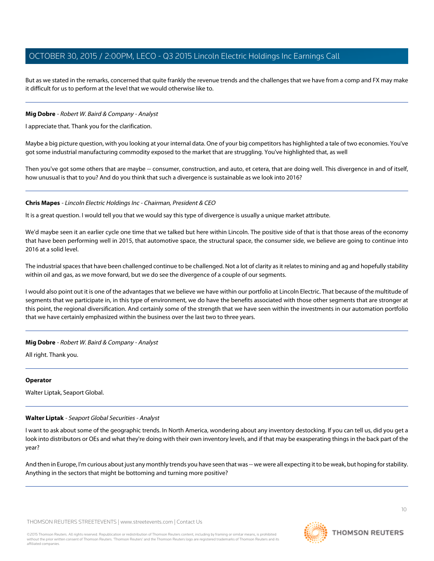But as we stated in the remarks, concerned that quite frankly the revenue trends and the challenges that we have from a comp and FX may make it difficult for us to perform at the level that we would otherwise like to.

### **Mig Dobre** - Robert W. Baird & Company - Analyst

I appreciate that. Thank you for the clarification.

Maybe a big picture question, with you looking at your internal data. One of your big competitors has highlighted a tale of two economies. You've got some industrial manufacturing commodity exposed to the market that are struggling. You've highlighted that, as well

Then you've got some others that are maybe -- consumer, construction, and auto, et cetera, that are doing well. This divergence in and of itself, how unusual is that to you? And do you think that such a divergence is sustainable as we look into 2016?

#### **Chris Mapes** - Lincoln Electric Holdings Inc - Chairman, President & CEO

It is a great question. I would tell you that we would say this type of divergence is usually a unique market attribute.

We'd maybe seen it an earlier cycle one time that we talked but here within Lincoln. The positive side of that is that those areas of the economy that have been performing well in 2015, that automotive space, the structural space, the consumer side, we believe are going to continue into 2016 at a solid level.

The industrial spaces that have been challenged continue to be challenged. Not a lot of clarity as it relates to mining and ag and hopefully stability within oil and gas, as we move forward, but we do see the divergence of a couple of our segments.

I would also point out it is one of the advantages that we believe we have within our portfolio at Lincoln Electric. That because of the multitude of segments that we participate in, in this type of environment, we do have the benefits associated with those other segments that are stronger at this point, the regional diversification. And certainly some of the strength that we have seen within the investments in our automation portfolio that we have certainly emphasized within the business over the last two to three years.

# **Mig Dobre** - Robert W. Baird & Company - Analyst

All right. Thank you.

#### <span id="page-9-0"></span>**Operator**

Walter Liptak, Seaport Global.

# **Walter Liptak** - Seaport Global Securities - Analyst

I want to ask about some of the geographic trends. In North America, wondering about any inventory destocking. If you can tell us, did you get a look into distributors or OEs and what they're doing with their own inventory levels, and if that may be exasperating things in the back part of the year?

And then in Europe, I'm curious about just any monthly trends you have seen that was -- we were all expecting it to be weak, but hoping for stability. Anything in the sectors that might be bottoming and turning more positive?

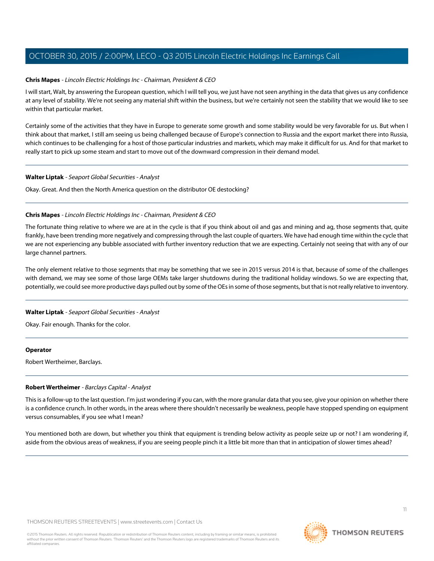#### **Chris Mapes** - Lincoln Electric Holdings Inc - Chairman, President & CEO

I will start, Walt, by answering the European question, which I will tell you, we just have not seen anything in the data that gives us any confidence at any level of stability. We're not seeing any material shift within the business, but we're certainly not seen the stability that we would like to see within that particular market.

Certainly some of the activities that they have in Europe to generate some growth and some stability would be very favorable for us. But when I think about that market, I still am seeing us being challenged because of Europe's connection to Russia and the export market there into Russia, which continues to be challenging for a host of those particular industries and markets, which may make it difficult for us. And for that market to really start to pick up some steam and start to move out of the downward compression in their demand model.

#### **Walter Liptak** - Seaport Global Securities - Analyst

Okay. Great. And then the North America question on the distributor OE destocking?

#### **Chris Mapes** - Lincoln Electric Holdings Inc - Chairman, President & CEO

The fortunate thing relative to where we are at in the cycle is that if you think about oil and gas and mining and ag, those segments that, quite frankly, have been trending more negatively and compressing through the last couple of quarters. We have had enough time within the cycle that we are not experiencing any bubble associated with further inventory reduction that we are expecting. Certainly not seeing that with any of our large channel partners.

The only element relative to those segments that may be something that we see in 2015 versus 2014 is that, because of some of the challenges with demand, we may see some of those large OEMs take larger shutdowns during the traditional holiday windows. So we are expecting that, potentially, we could see more productive days pulled out by some of the OEs in some of those segments, but that is not really relative to inventory.

#### **Walter Liptak** - Seaport Global Securities - Analyst

Okay. Fair enough. Thanks for the color.

#### <span id="page-10-0"></span>**Operator**

Robert Wertheimer, Barclays.

#### **Robert Wertheimer** - Barclays Capital - Analyst

This is a follow-up to the last question. I'm just wondering if you can, with the more granular data that you see, give your opinion on whether there is a confidence crunch. In other words, in the areas where there shouldn't necessarily be weakness, people have stopped spending on equipment versus consumables, if you see what I mean?

You mentioned both are down, but whether you think that equipment is trending below activity as people seize up or not? I am wondering if, aside from the obvious areas of weakness, if you are seeing people pinch it a little bit more than that in anticipation of slower times ahead?

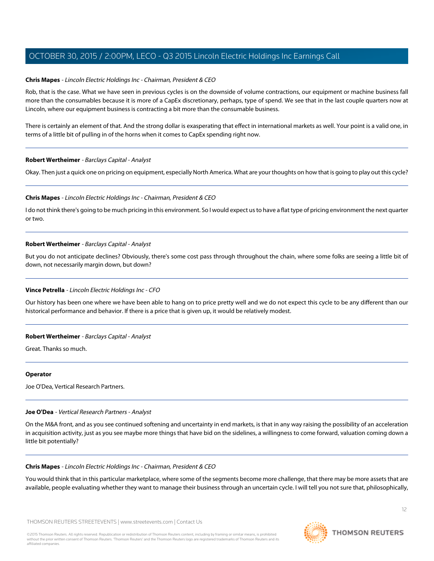# **Chris Mapes** - Lincoln Electric Holdings Inc - Chairman, President & CEO

Rob, that is the case. What we have seen in previous cycles is on the downside of volume contractions, our equipment or machine business fall more than the consumables because it is more of a CapEx discretionary, perhaps, type of spend. We see that in the last couple quarters now at Lincoln, where our equipment business is contracting a bit more than the consumable business.

There is certainly an element of that. And the strong dollar is exasperating that effect in international markets as well. Your point is a valid one, in terms of a little bit of pulling in of the horns when it comes to CapEx spending right now.

# **Robert Wertheimer** - Barclays Capital - Analyst

Okay. Then just a quick one on pricing on equipment, especially North America. What are your thoughts on how that is going to play out this cycle?

#### **Chris Mapes** - Lincoln Electric Holdings Inc - Chairman, President & CEO

I do not think there's going to be much pricing in this environment. So I would expect us to have a flat type of pricing environment the next quarter or two.

#### **Robert Wertheimer** - Barclays Capital - Analyst

But you do not anticipate declines? Obviously, there's some cost pass through throughout the chain, where some folks are seeing a little bit of down, not necessarily margin down, but down?

#### **Vince Petrella** - Lincoln Electric Holdings Inc - CFO

Our history has been one where we have been able to hang on to price pretty well and we do not expect this cycle to be any different than our historical performance and behavior. If there is a price that is given up, it would be relatively modest.

# **Robert Wertheimer** - Barclays Capital - Analyst

Great. Thanks so much.

#### <span id="page-11-0"></span>**Operator**

Joe O'Dea, Vertical Research Partners.

#### **Joe O'Dea** - Vertical Research Partners - Analyst

On the M&A front, and as you see continued softening and uncertainty in end markets, is that in any way raising the possibility of an acceleration in acquisition activity, just as you see maybe more things that have bid on the sidelines, a willingness to come forward, valuation coming down a little bit potentially?

#### **Chris Mapes** - Lincoln Electric Holdings Inc - Chairman, President & CEO

You would think that in this particular marketplace, where some of the segments become more challenge, that there may be more assets that are available, people evaluating whether they want to manage their business through an uncertain cycle. I will tell you not sure that, philosophically,

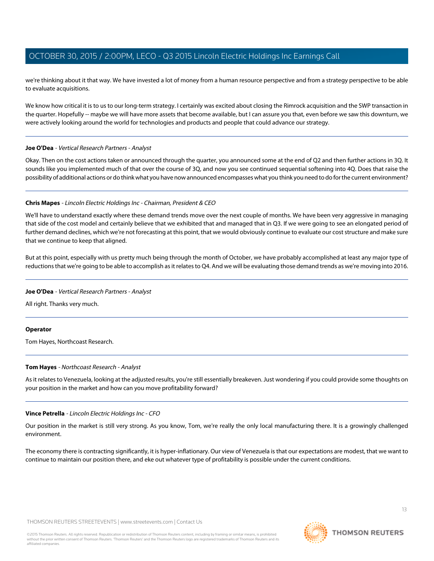we're thinking about it that way. We have invested a lot of money from a human resource perspective and from a strategy perspective to be able to evaluate acquisitions.

We know how critical it is to us to our long-term strategy. I certainly was excited about closing the Rimrock acquisition and the SWP transaction in the quarter. Hopefully -- maybe we will have more assets that become available, but I can assure you that, even before we saw this downturn, we were actively looking around the world for technologies and products and people that could advance our strategy.

#### **Joe O'Dea** - Vertical Research Partners - Analyst

Okay. Then on the cost actions taken or announced through the quarter, you announced some at the end of Q2 and then further actions in 3Q. It sounds like you implemented much of that over the course of 3Q, and now you see continued sequential softening into 4Q. Does that raise the possibility of additional actions or do think what you have now announced encompasses what you think you need to do for the current environment?

#### **Chris Mapes** - Lincoln Electric Holdings Inc - Chairman, President & CEO

We'll have to understand exactly where these demand trends move over the next couple of months. We have been very aggressive in managing that side of the cost model and certainly believe that we exhibited that and managed that in Q3. If we were going to see an elongated period of further demand declines, which we're not forecasting at this point, that we would obviously continue to evaluate our cost structure and make sure that we continue to keep that aligned.

But at this point, especially with us pretty much being through the month of October, we have probably accomplished at least any major type of reductions that we're going to be able to accomplish as it relates to Q4. And we will be evaluating those demand trends as we're moving into 2016.

#### **Joe O'Dea** - Vertical Research Partners - Analyst

All right. Thanks very much.

#### <span id="page-12-0"></span>**Operator**

Tom Hayes, Northcoast Research.

#### **Tom Hayes** - Northcoast Research - Analyst

As it relates to Venezuela, looking at the adjusted results, you're still essentially breakeven. Just wondering if you could provide some thoughts on your position in the market and how can you move profitability forward?

#### **Vince Petrella** - Lincoln Electric Holdings Inc - CFO

Our position in the market is still very strong. As you know, Tom, we're really the only local manufacturing there. It is a growingly challenged environment.

The economy there is contracting significantly, it is hyper-inflationary. Our view of Venezuela is that our expectations are modest, that we want to continue to maintain our position there, and eke out whatever type of profitability is possible under the current conditions.

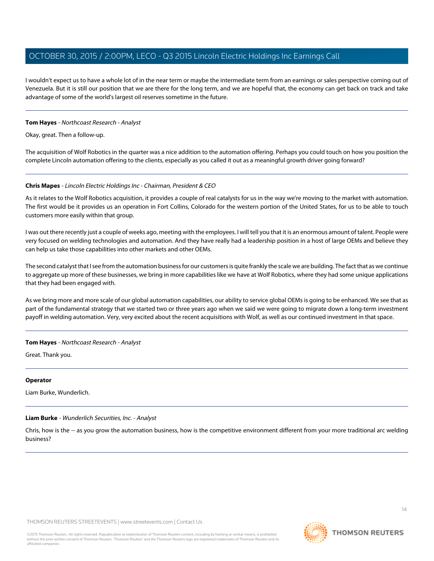I wouldn't expect us to have a whole lot of in the near term or maybe the intermediate term from an earnings or sales perspective coming out of Venezuela. But it is still our position that we are there for the long term, and we are hopeful that, the economy can get back on track and take advantage of some of the world's largest oil reserves sometime in the future.

# **Tom Hayes** - Northcoast Research - Analyst

Okay, great. Then a follow-up.

The acquisition of Wolf Robotics in the quarter was a nice addition to the automation offering. Perhaps you could touch on how you position the complete Lincoln automation offering to the clients, especially as you called it out as a meaningful growth driver going forward?

# **Chris Mapes** - Lincoln Electric Holdings Inc - Chairman, President & CEO

As it relates to the Wolf Robotics acquisition, it provides a couple of real catalysts for us in the way we're moving to the market with automation. The first would be it provides us an operation in Fort Collins, Colorado for the western portion of the United States, for us to be able to touch customers more easily within that group.

I was out there recently just a couple of weeks ago, meeting with the employees. I will tell you that it is an enormous amount of talent. People were very focused on welding technologies and automation. And they have really had a leadership position in a host of large OEMs and believe they can help us take those capabilities into other markets and other OEMs.

The second catalyst that I see from the automation business for our customers is quite frankly the scale we are building. The fact that as we continue to aggregate up more of these businesses, we bring in more capabilities like we have at Wolf Robotics, where they had some unique applications that they had been engaged with.

As we bring more and more scale of our global automation capabilities, our ability to service global OEMs is going to be enhanced. We see that as part of the fundamental strategy that we started two or three years ago when we said we were going to migrate down a long-term investment payoff in welding automation. Very, very excited about the recent acquisitions with Wolf, as well as our continued investment in that space.

# **Tom Hayes** - Northcoast Research - Analyst

Great. Thank you.

#### <span id="page-13-0"></span>**Operator**

Liam Burke, Wunderlich.

# **Liam Burke** - Wunderlich Securities, Inc. - Analyst

Chris, how is the -- as you grow the automation business, how is the competitive environment different from your more traditional arc welding business?

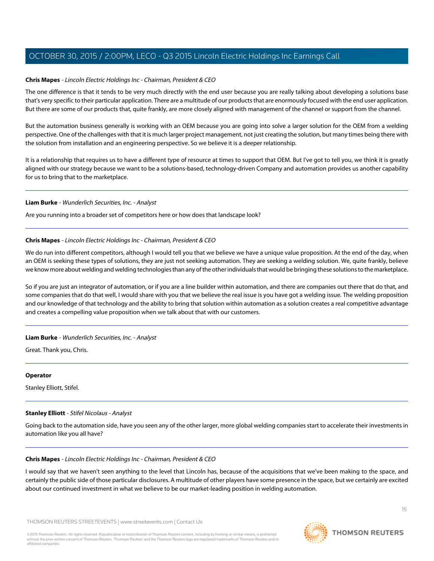### **Chris Mapes** - Lincoln Electric Holdings Inc - Chairman, President & CEO

The one difference is that it tends to be very much directly with the end user because you are really talking about developing a solutions base that's very specific to their particular application. There are a multitude of our products that are enormously focused with the end user application. But there are some of our products that, quite frankly, are more closely aligned with management of the channel or support from the channel.

But the automation business generally is working with an OEM because you are going into solve a larger solution for the OEM from a welding perspective. One of the challenges with that it is much larger project management, not just creating the solution, but many times being there with the solution from installation and an engineering perspective. So we believe it is a deeper relationship.

It is a relationship that requires us to have a different type of resource at times to support that OEM. But I've got to tell you, we think it is greatly aligned with our strategy because we want to be a solutions-based, technology-driven Company and automation provides us another capability for us to bring that to the marketplace.

#### **Liam Burke** - Wunderlich Securities, Inc. - Analyst

Are you running into a broader set of competitors here or how does that landscape look?

#### **Chris Mapes** - Lincoln Electric Holdings Inc - Chairman, President & CEO

We do run into different competitors, although I would tell you that we believe we have a unique value proposition. At the end of the day, when an OEM is seeking these types of solutions, they are just not seeking automation. They are seeking a welding solution. We, quite frankly, believe we know more about welding and welding technologies than any of the other individuals that would be bringing these solutions to the marketplace.

So if you are just an integrator of automation, or if you are a line builder within automation, and there are companies out there that do that, and some companies that do that well, I would share with you that we believe the real issue is you have got a welding issue. The welding proposition and our knowledge of that technology and the ability to bring that solution within automation as a solution creates a real competitive advantage and creates a compelling value proposition when we talk about that with our customers.

#### **Liam Burke** - Wunderlich Securities, Inc. - Analyst

Great. Thank you, Chris.

#### <span id="page-14-0"></span>**Operator**

Stanley Elliott, Stifel.

#### **Stanley Elliott** - Stifel Nicolaus - Analyst

Going back to the automation side, have you seen any of the other larger, more global welding companies start to accelerate their investments in automation like you all have?

#### **Chris Mapes** - Lincoln Electric Holdings Inc - Chairman, President & CEO

I would say that we haven't seen anything to the level that Lincoln has, because of the acquisitions that we've been making to the space, and certainly the public side of those particular disclosures. A multitude of other players have some presence in the space, but we certainly are excited about our continued investment in what we believe to be our market-leading position in welding automation.

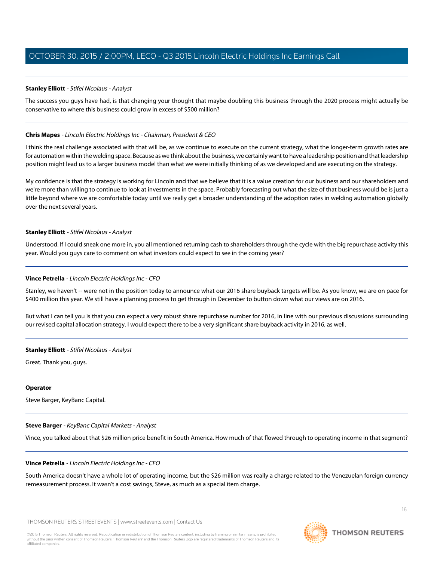### **Stanley Elliott** - Stifel Nicolaus - Analyst

The success you guys have had, is that changing your thought that maybe doubling this business through the 2020 process might actually be conservative to where this business could grow in excess of \$500 million?

#### **Chris Mapes** - Lincoln Electric Holdings Inc - Chairman, President & CEO

I think the real challenge associated with that will be, as we continue to execute on the current strategy, what the longer-term growth rates are for automation within the welding space. Because as we think about the business, we certainly want to have a leadership position and that leadership position might lead us to a larger business model than what we were initially thinking of as we developed and are executing on the strategy.

My confidence is that the strategy is working for Lincoln and that we believe that it is a value creation for our business and our shareholders and we're more than willing to continue to look at investments in the space. Probably forecasting out what the size of that business would be is just a little beyond where we are comfortable today until we really get a broader understanding of the adoption rates in welding automation globally over the next several years.

#### **Stanley Elliott** - Stifel Nicolaus - Analyst

Understood. If I could sneak one more in, you all mentioned returning cash to shareholders through the cycle with the big repurchase activity this year. Would you guys care to comment on what investors could expect to see in the coming year?

#### **Vince Petrella** - Lincoln Electric Holdings Inc - CFO

Stanley, we haven't -- were not in the position today to announce what our 2016 share buyback targets will be. As you know, we are on pace for \$400 million this year. We still have a planning process to get through in December to button down what our views are on 2016.

But what I can tell you is that you can expect a very robust share repurchase number for 2016, in line with our previous discussions surrounding our revised capital allocation strategy. I would expect there to be a very significant share buyback activity in 2016, as well.

#### **Stanley Elliott** - Stifel Nicolaus - Analyst

Great. Thank you, guys.

#### <span id="page-15-0"></span>**Operator**

Steve Barger, KeyBanc Capital.

#### **Steve Barger** - KeyBanc Capital Markets - Analyst

Vince, you talked about that \$26 million price benefit in South America. How much of that flowed through to operating income in that segment?

#### **Vince Petrella** - Lincoln Electric Holdings Inc - CFO

South America doesn't have a whole lot of operating income, but the \$26 million was really a charge related to the Venezuelan foreign currency remeasurement process. It wasn't a cost savings, Steve, as much as a special item charge.

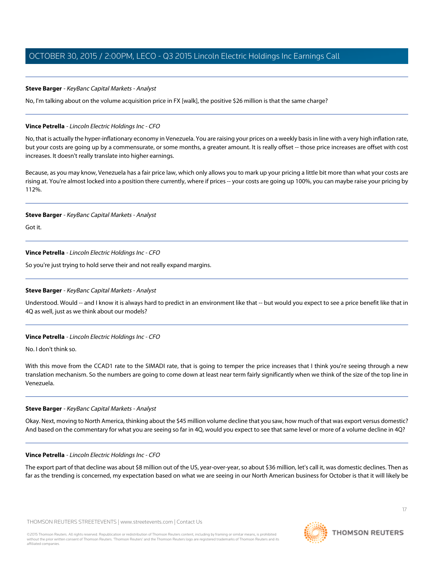### **Steve Barger** - KeyBanc Capital Markets - Analyst

No, I'm talking about on the volume acquisition price in FX [walk], the positive \$26 million is that the same charge?

### **Vince Petrella** - Lincoln Electric Holdings Inc - CFO

No, that is actually the hyper-inflationary economy in Venezuela. You are raising your prices on a weekly basis in line with a very high inflation rate, but your costs are going up by a commensurate, or some months, a greater amount. It is really offset -- those price increases are offset with cost increases. It doesn't really translate into higher earnings.

Because, as you may know, Venezuela has a fair price law, which only allows you to mark up your pricing a little bit more than what your costs are rising at. You're almost locked into a position there currently, where if prices -- your costs are going up 100%, you can maybe raise your pricing by 112%.

#### **Steve Barger** - KeyBanc Capital Markets - Analyst

Got it.

# **Vince Petrella** - Lincoln Electric Holdings Inc - CFO

So you're just trying to hold serve their and not really expand margins.

# **Steve Barger** - KeyBanc Capital Markets - Analyst

Understood. Would -- and I know it is always hard to predict in an environment like that -- but would you expect to see a price benefit like that in 4Q as well, just as we think about our models?

# **Vince Petrella** - Lincoln Electric Holdings Inc - CFO

No. I don't think so.

With this move from the CCAD1 rate to the SIMADI rate, that is going to temper the price increases that I think you're seeing through a new translation mechanism. So the numbers are going to come down at least near term fairly significantly when we think of the size of the top line in Venezuela.

#### **Steve Barger** - KeyBanc Capital Markets - Analyst

Okay. Next, moving to North America, thinking about the \$45 million volume decline that you saw, how much of that was export versus domestic? And based on the commentary for what you are seeing so far in 4Q, would you expect to see that same level or more of a volume decline in 4Q?

# **Vince Petrella** - Lincoln Electric Holdings Inc - CFO

The export part of that decline was about \$8 million out of the US, year-over-year, so about \$36 million, let's call it, was domestic declines. Then as far as the trending is concerned, my expectation based on what we are seeing in our North American business for October is that it will likely be

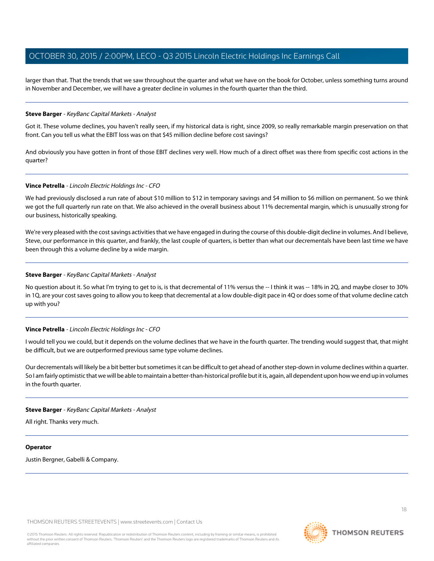larger than that. That the trends that we saw throughout the quarter and what we have on the book for October, unless something turns around in November and December, we will have a greater decline in volumes in the fourth quarter than the third.

#### **Steve Barger** - KeyBanc Capital Markets - Analyst

Got it. These volume declines, you haven't really seen, if my historical data is right, since 2009, so really remarkable margin preservation on that front. Can you tell us what the EBIT loss was on that \$45 million decline before cost savings?

And obviously you have gotten in front of those EBIT declines very well. How much of a direct offset was there from specific cost actions in the quarter?

#### **Vince Petrella** - Lincoln Electric Holdings Inc - CFO

We had previously disclosed a run rate of about \$10 million to \$12 in temporary savings and \$4 million to \$6 million on permanent. So we think we got the full quarterly run rate on that. We also achieved in the overall business about 11% decremental margin, which is unusually strong for our business, historically speaking.

We're very pleased with the cost savings activities that we have engaged in during the course of this double-digit decline in volumes. And I believe, Steve, our performance in this quarter, and frankly, the last couple of quarters, is better than what our decrementals have been last time we have been through this a volume decline by a wide margin.

#### **Steve Barger** - KeyBanc Capital Markets - Analyst

No question about it. So what I'm trying to get to is, is that decremental of 11% versus the -- I think it was -- 18% in 2Q, and maybe closer to 30% in 1Q, are your cost saves going to allow you to keep that decremental at a low double-digit pace in 4Q or does some of that volume decline catch up with you?

# **Vince Petrella** - Lincoln Electric Holdings Inc - CFO

I would tell you we could, but it depends on the volume declines that we have in the fourth quarter. The trending would suggest that, that might be difficult, but we are outperformed previous same type volume declines.

Our decrementals will likely be a bit better but sometimes it can be difficult to get ahead of another step-down in volume declines within a quarter. So I am fairly optimistic that we will be able to maintain a better-than-historical profile but it is, again, all dependent upon how we end up in volumes in the fourth quarter.

#### **Steve Barger** - KeyBanc Capital Markets - Analyst

All right. Thanks very much.

#### **Operator**

Justin Bergner, Gabelli & Company.

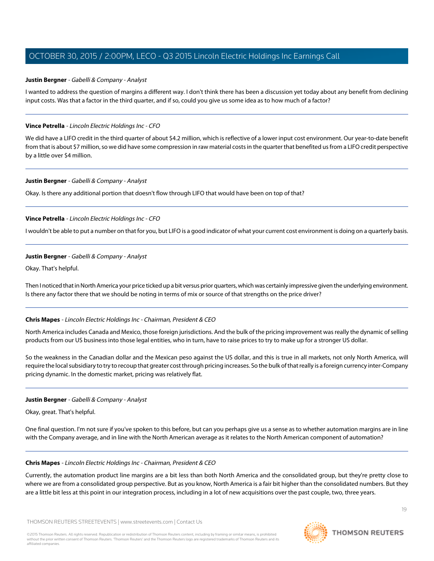#### <span id="page-18-0"></span>**Justin Bergner** - Gabelli & Company - Analyst

I wanted to address the question of margins a different way. I don't think there has been a discussion yet today about any benefit from declining input costs. Was that a factor in the third quarter, and if so, could you give us some idea as to how much of a factor?

#### **Vince Petrella** - Lincoln Electric Holdings Inc - CFO

We did have a LIFO credit in the third quarter of about \$4.2 million, which is reflective of a lower input cost environment. Our year-to-date benefit from that is about \$7 million, so we did have some compression in raw material costs in the quarter that benefited us from a LIFO credit perspective by a little over \$4 million.

#### **Justin Bergner** - Gabelli & Company - Analyst

Okay. Is there any additional portion that doesn't flow through LIFO that would have been on top of that?

# **Vince Petrella** - Lincoln Electric Holdings Inc - CFO

I wouldn't be able to put a number on that for you, but LIFO is a good indicator of what your current cost environment is doing on a quarterly basis.

#### **Justin Bergner** - Gabelli & Company - Analyst

Okay. That's helpful.

Then I noticed that in North America your price ticked up a bit versus prior quarters, which was certainly impressive given the underlying environment. Is there any factor there that we should be noting in terms of mix or source of that strengths on the price driver?

# **Chris Mapes** - Lincoln Electric Holdings Inc - Chairman, President & CEO

North America includes Canada and Mexico, those foreign jurisdictions. And the bulk of the pricing improvement was really the dynamic of selling products from our US business into those legal entities, who in turn, have to raise prices to try to make up for a stronger US dollar.

So the weakness in the Canadian dollar and the Mexican peso against the US dollar, and this is true in all markets, not only North America, will require the local subsidiary to try to recoup that greater cost through pricing increases. So the bulk of that really is a foreign currency inter-Company pricing dynamic. In the domestic market, pricing was relatively flat.

#### **Justin Bergner** - Gabelli & Company - Analyst

Okay, great. That's helpful.

One final question. I'm not sure if you've spoken to this before, but can you perhaps give us a sense as to whether automation margins are in line with the Company average, and in line with the North American average as it relates to the North American component of automation?

#### **Chris Mapes** - Lincoln Electric Holdings Inc - Chairman, President & CEO

Currently, the automation product line margins are a bit less than both North America and the consolidated group, but they're pretty close to where we are from a consolidated group perspective. But as you know, North America is a fair bit higher than the consolidated numbers. But they are a little bit less at this point in our integration process, including in a lot of new acquisitions over the past couple, two, three years.

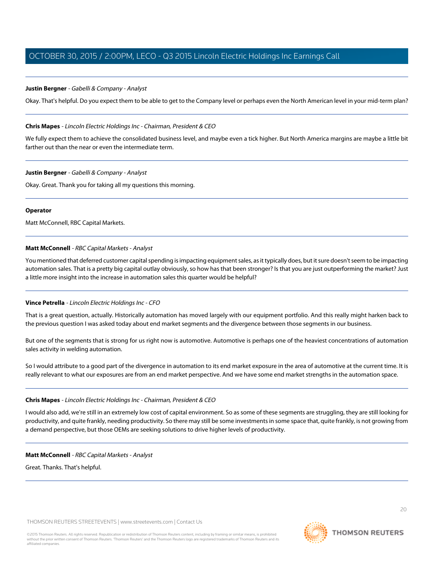# **Justin Bergner** - Gabelli & Company - Analyst

Okay. That's helpful. Do you expect them to be able to get to the Company level or perhaps even the North American level in your mid-term plan?

# **Chris Mapes** - Lincoln Electric Holdings Inc - Chairman, President & CEO

We fully expect them to achieve the consolidated business level, and maybe even a tick higher. But North America margins are maybe a little bit farther out than the near or even the intermediate term.

# **Justin Bergner** - Gabelli & Company - Analyst

Okay. Great. Thank you for taking all my questions this morning.

# **Operator**

Matt McConnell, RBC Capital Markets.

# **Matt McConnell** - RBC Capital Markets - Analyst

You mentioned that deferred customer capital spending is impacting equipment sales, as it typically does, but it sure doesn't seem to be impacting automation sales. That is a pretty big capital outlay obviously, so how has that been stronger? Is that you are just outperforming the market? Just a little more insight into the increase in automation sales this quarter would be helpful?

# **Vince Petrella** - Lincoln Electric Holdings Inc - CFO

That is a great question, actually. Historically automation has moved largely with our equipment portfolio. And this really might harken back to the previous question I was asked today about end market segments and the divergence between those segments in our business.

But one of the segments that is strong for us right now is automotive. Automotive is perhaps one of the heaviest concentrations of automation sales activity in welding automation.

So I would attribute to a good part of the divergence in automation to its end market exposure in the area of automotive at the current time. It is really relevant to what our exposures are from an end market perspective. And we have some end market strengths in the automation space.

# **Chris Mapes** - Lincoln Electric Holdings Inc - Chairman, President & CEO

I would also add, we're still in an extremely low cost of capital environment. So as some of these segments are struggling, they are still looking for productivity, and quite frankly, needing productivity. So there may still be some investments in some space that, quite frankly, is not growing from a demand perspective, but those OEMs are seeking solutions to drive higher levels of productivity.

# **Matt McConnell** - RBC Capital Markets - Analyst

Great. Thanks. That's helpful.